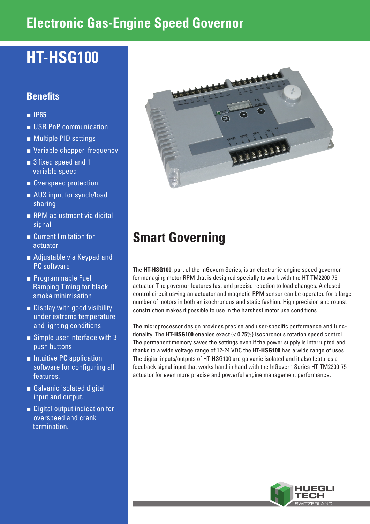## **Electronic Gas-Engine Speed Governor**

# **HT-HSG100**

## **Benefits**

- IP65
- USB PnP communication
- Multiple PID settings
- Variable chopper frequency
- 3 fixed speed and 1 variable speed
- Overspeed protection
- AUX input for synch/load sharing
- RPM adjustment via digital signal
- Current limitation for actuator
- Adjustable via Keypad and PC software
- Programmable Fuel Ramping Timing for black smoke minimisation
- Display with good visibility under extreme temperature and lighting conditions
- Simple user interface with 3 push buttons
- Intuitive PC application software for configuring all features.
- Galvanic isolated digital input and output.
- Digital output indication for overspeed and crank termination.



## **Smart Governing**

The **HT-HSG100**, part of the InGovern Series, is an electronic engine speed governor for managing motor RPM that is designed specially to work with the HT-TM2200-75 actuator. The governor features fast and precise reaction to load changes. A closed control circuit us¬ing an actuator and magnetic RPM sensor can be operated for a large number of motors in both an isochronous and static fashion. High precision and robust construction makes it possible to use in the harshest motor use conditions.

The microprocessor design provides precise and user-specific performance and functionality. The **HT-HSG100** enables exact (< 0.25%) isochronous rotation speed control. The permanent memory saves the settings even if the power supply is interrupted and thanks to a wide voltage range of 12-24 VDC the **HT-HSG100** has a wide range of uses. The digital inputs/outputs of HT-HSG100 are galvanic isolated and it also features a feedback signal input that works hand in hand with the InGovern Series HT-TM2200-75 actuator for even more precise and powerful engine management performance.

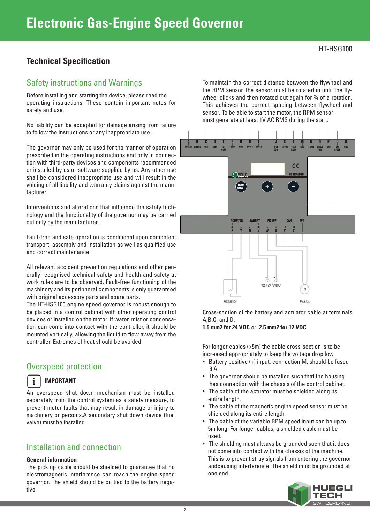## **Technical Specification**

## Safety instructions and Warnings

Before installing and starting the device, please read the operating instructions. These contain important notes for safety and use.

No liability can be accepted for damage arising from failure to follow the instructions or any inappropriate use.

The governor may only be used for the manner of operation prescribed in the operating instructions and only in connection with third-party devices and components recommended or installed by us or software supplied by us. Any other use shall be considered inappropriate use and will result in the voiding of all liability and warranty claims against the manufacturer.

Interventions and alterations that influence the safety technology and the functionality of the governor may be carried out only by the manufacturer.

Fault-free and safe operation is conditional upon competent transport, assembly and installation as well as qualified use and correct maintenance.

All relevant accident prevention regulations and other generally recognised technical safety and health and safety at work rules are to be observed. Fault-free functioning of the machinery and its peripheral components is only guaranteed with original accessory parts and spare parts.

The HT-HSG100 engine speed governor is robust enough to be placed in a control cabinet with other operating control devices or installed on the motor. If water, mist or condensation can come into contact with the controller, it should be mounted vertically, allowing the liquid to flow away from the controller. Extremes of heat should be avoided.

## Overspeed protection

#### **IMPORTANT** i

An overspeed shut down mechanism must be installed separately from the control system as a safety measure, to prevent motor faults that may result in damage or injury to machinery or persons.A secondary shut down device (fuel valve) must be installed.

## Installation and connection

#### **General information**

The pick up cable should be shielded to guarantee that no electromagnetic interference can reach the engine speed governor. The shield should be on tied to the battery negative.

To maintain the correct distance between the flywheel and the RPM sensor, the sensor must be rotated in until the flywheel clicks and then rotated out again for  $\frac{3}{4}$  of a rotation. This achieves the correct spacing between flywheel and sensor. To be able to start the motor, the RPM sensor must generate at least 1V AC RMS during the start.



Cross-section of the battery and actuator cable at terminals A,B,C, and D:

### **1.5 mm2 for 24 VDC** or **2.5 mm2 for 12 VDC**

For longer cables (>5m) the cable cross-section is to be increased appropriately to keep the voltage drop low.

- Battery positive (+) input, connection M, should be fused 8 A.
- The governor should be installed such that the housing has connection with the chassis of the control cabinet.
- The cable of the actuator must be shielded along its entire length.
- The cable of the magnetic engine speed sensor must be shielded along its entire length.
- The cable of the variable RPM speed input can be up to 5m long. For longer cables, a shielded cable must be used.
- The shielding must always be grounded such that it does not come into contact with the chassis of the machine. This is to prevent stray signals from entering the governor andcausing interference. The shield must be grounded at one end.

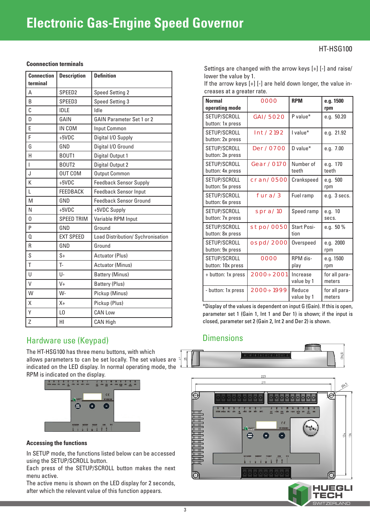## **Electronic Gas-Engine Speed Governor**

## HT-HSG100

#### **Coonnection terminals**

| <b>Connection</b><br>terminal | <b>Description</b> | <b>Definition</b>                 |
|-------------------------------|--------------------|-----------------------------------|
| A                             | SPEED <sub>2</sub> | <b>Speed Setting 2</b>            |
| B                             | SPEED3             | <b>Speed Setting 3</b>            |
| C                             | <b>IDLE</b>        | Idle                              |
| D                             | GAIN               | <b>GAIN Parameter Set 1 or 2</b>  |
| E                             | IN COM             | Input Common                      |
| F                             | $+5VDC$            | Digital I/O Supply                |
| G                             | GND                | Digital I/O Ground                |
| Η                             | BOUT1              | Digital Output 1                  |
| L                             | BOUT2              | Digital Output 2                  |
| J                             | <b>OUT COM</b>     | <b>Output Common</b>              |
| K                             | $+5VDC$            | <b>Feedback Sensor Supply</b>     |
| L                             | <b>FEEDBACK</b>    | <b>Feedback Sensor Input</b>      |
| M                             | GND                | <b>Feedback Sensor Ground</b>     |
| N                             | $+5VDC$            | +5VDC Supply                      |
| 0                             | <b>SPEED TRIM</b>  | Variable RPM Input                |
| P                             | GND                | Ground                            |
| 0                             | <b>EXT SPEED</b>   | Load Distribution/ Sychronisation |
| R                             | GND                | Ground                            |
| S                             | $S+$               | <b>Actuator (Plus)</b>            |
| T                             | T-                 | Actuator (Minus)                  |
| U                             | U-                 | <b>Battery (Minus)</b>            |
| V                             | $V +$              | <b>Battery (Plus)</b>             |
| W                             | W-                 | Pickup (Minus)                    |
| X                             | $X +$              | Pickup (Plus)                     |
| Υ                             | L <sub>0</sub>     | <b>CAN Low</b>                    |
| Z                             | HI                 | <b>CAN High</b>                   |

## Hardware use (Keypad)

The HT-HSG100 has three menu buttons, with which allows parameters to can be set locally. The set values are  $\bar{z}$ indicated on the LED display. In normal operating mode, the RPM is indicated on the display.



### **Accessing the functions**

In SETUP mode, the functions listed below can be accessed using the SETUP/SCROLL button.

Each press of the SETUP/SCROLL button makes the next menu active.

The active menu is shown on the LED display for 2 seconds, after which the relevant value of this function appears.

Settings are changed with the arrow keys [+] [-] and raise/ lower the value by 1.

If the arrow keys [+] [-] are held down longer, the value increases at a greater rate.

| <b>Normal</b><br>operating mode   | 0000                    | <b>RPM</b>                 | e.g. 1500<br>rpm        |
|-----------------------------------|-------------------------|----------------------------|-------------------------|
| SETUP/SCROLL<br>button: 1x press  | GAI/5020                | P value*                   | e.g. 50.20              |
| SETUP/SCROLL<br>button: 2x press  | INT / 2192              | I value*                   | e.g. 21.92              |
| SETUP/SCROLL<br>button: 3x press  | DER/0700                | $D$ value <sup>*</sup>     | e.g. 7.00               |
| SETUP/SCROLL<br>button: 4x press  | G E A R / 0170          | Number of<br>teeth         | e.g. 170<br>teeth       |
| SETUP/SCROLL<br>button: 5x press  | CRAN/0500               | Crankspeed                 | e.g. 500<br>rpm         |
| SETUP/SCROLL<br>button: 6x press  | FURA/3                  | Fuel ramp                  | e.g. 3 secs.            |
| SETUP/SCROLL<br>button: 7x press  | SPRA/10                 | Speed ramp                 | e.g. 10<br>secs.        |
| SETUP/SCROLL<br>button: 8x press  | STPO/0050               | <b>Start Posi-</b><br>tion | e.g. $50%$              |
| SETUP/SCROLL<br>button: 9x press  | 0 SPD / 2 0 0 0         | Overspeed                  | e.g. 2000<br>rpm        |
| SETUP/SCROLL<br>button: 10x press | 0000                    | RPM dis-<br>play           | e.g. 1500<br>rpm        |
| + button: 1x press                | $2000 \rightarrow 2001$ | Increase<br>value by 1     | for all para-<br>meters |
| - button: 1x press                | $2000 \rightarrow 1999$ | Reduce<br>value by 1       | for all para-<br>meters |

\*Display of the values is dependent on input G (Gain). If this is open, parameter set 1 (Gain 1, Int 1 and Der 1) is shown; if the input is closed, parameter set 2 (Gain 2, Int 2 and Der 2) is shown.

## **Dimensions**



**SWITZERLAND**